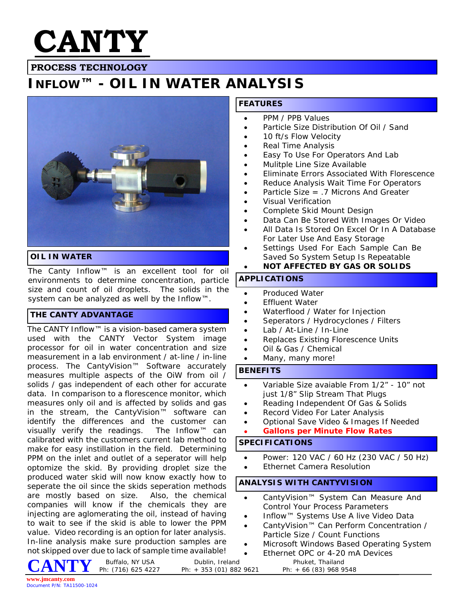

# **PROCESS TECHNOLOGY**

# **INFLOW™ - OIL IN WATER ANALYSIS**



### **OIL IN WATER**

The Canty Inflow™ is an excellent tool for oil environments to determine concentration, particle size and count of oil droplets. The solids in the system can be analyzed as well by the Inflow™.

### **THE CANTY ADVANTAGE**

The CANTY Inflow™ is a vision-based camera system used with the CANTY Vector System image processor for oil in water concentration and size measurement in a lab environment / at-line / in-line process. The CantyVision™ Software accurately measures multiple aspects of the OiW from oil / solids / gas independent of each other for accurate data. In comparison to a florescence monitor, which measures only oil and is affected by solids and gas in the stream, the CantyVision™ software can identify the differences and the customer can visually verify the readings. The Inflow™ can calibrated with the customers current lab method to make for easy instillation in the field. Determining PPM on the inlet and outlet of a seperator will help optomize the skid. By providing droplet size the produced water skid will now know exactly how to seperate the oil since the skids seperation methods are mostly based on size. Also, the chemical companies will know if the chemicals they are injecting are aglomerating the oil, instead of having to wait to see if the skid is able to lower the PPM value. Video recording is an option for later analysis. In-line analysis make sure production samples are not skipped over due to lack of sample time available!

## **FEATURES**

- · PPM / PPB Values
- Particle Size Distribution Of Oil / Sand
- 10 ft/s Flow Velocity
- Real Time Analysis
- Easy To Use For Operators And Lab
- Mulitple Line Size Available
- · Eliminate Errors Associated With Florescence
- Reduce Analysis Wait Time For Operators
- Particle Size  $= .7$  Microns And Greater
- · Visual Verification
- Complete Skid Mount Design
- Data Can Be Stored With Images Or Video
- All Data Is Stored On Excel Or In A Database For Later Use And Easy Storage
- Settings Used For Each Sample Can Be Saved So System Setup Is Repeatable
- **NOT AFFECTED BY GAS OR SOLIDS**

#### **APPLICATIONS**

- · Produced Water
- **Effluent Water**
- Waterflood / Water for Injection
- Seperators / Hydrocyclones / Filters
- Lab / At-Line / In-Line
- Replaces Existing Florescence Units
- Oil & Gas / Chemical
- Many, many more!

#### **BENEFITS**

- Variable Size avaiable From 1/2" 10" not just 1/8" Slip Stream That Plugs
- Reading Independent Of Gas & Solids
- Record Video For Later Analysis
- · Optional Save Video & Images If Needed
- **Gallons per Minute Flow Rates**

### **SPECIFICATIONS**

- · Power: 120 VAC / 60 Hz (230 VAC / 50 Hz)
- Ethernet Camera Resolution

## **ANALYSIS WITH CANTYVISION**

- · CantyVision™ System Can Measure And Control Your Process Parameters
- · Inflow™ Systems Use A live Video Data
- · CantyVision™ Can Perform Concentration / Particle Size / Count Functions
- Microsoft Windows Based Operating System
- Ethernet OPC or 4-20 mA Devices Buffalo, NY USA Dublin, Ireland Phuket, Thailand Ph: (716) 625 4227 Ph: + 353 (01) 882 9621 Ph: + 66 (83) 968 9548

Ph: + 353 (01) 882 9621

**CANTY**